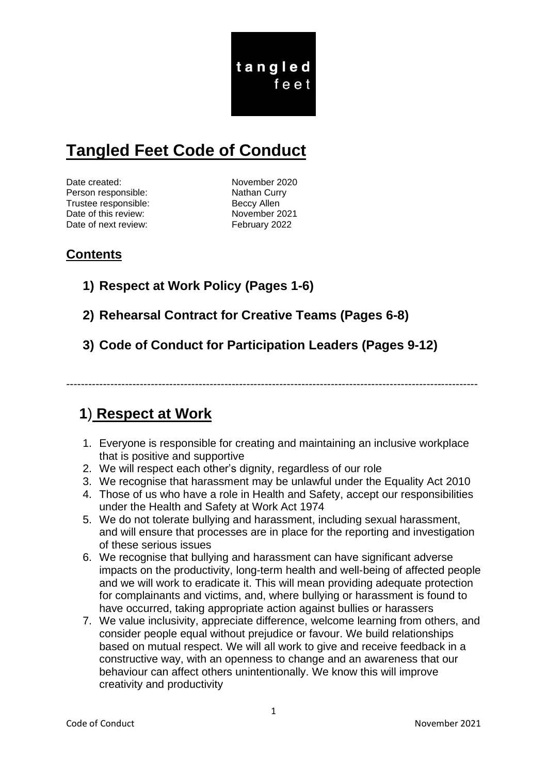tangled feet

# **Tangled Feet Code of Conduct**

Date created: November 2020 Person responsible: Nathan Curry Trustee responsible: Beccy Allen Date of this review: November 2021 Date of next review: February 2022

# **Contents**

- **1) Respect at Work Policy (Pages 1-6)**
- **2) Rehearsal Contract for Creative Teams (Pages 6-8)**
- **3) Code of Conduct for Participation Leaders (Pages 9-12)**

----------------------------------------------------------------------------------------------------------------

# **1**) **Respect at Work**

- 1. Everyone is responsible for creating and maintaining an inclusive workplace that is positive and supportive
- 2. We will respect each other's dignity, regardless of our role
- 3. We recognise that harassment may be unlawful under the Equality Act 2010
- 4. Those of us who have a role in Health and Safety, accept our responsibilities under the Health and Safety at Work Act 1974
- 5. We do not tolerate bullying and harassment, including sexual harassment, and will ensure that processes are in place for the reporting and investigation of these serious issues
- 6. We recognise that bullying and harassment can have significant adverse impacts on the productivity, long-term health and well-being of affected people and we will work to eradicate it. This will mean providing adequate protection for complainants and victims, and, where bullying or harassment is found to have occurred, taking appropriate action against bullies or harassers
- 7. We value inclusivity, appreciate difference, welcome learning from others, and consider people equal without prejudice or favour. We build relationships based on mutual respect. We will all work to give and receive feedback in a constructive way, with an openness to change and an awareness that our behaviour can affect others unintentionally. We know this will improve creativity and productivity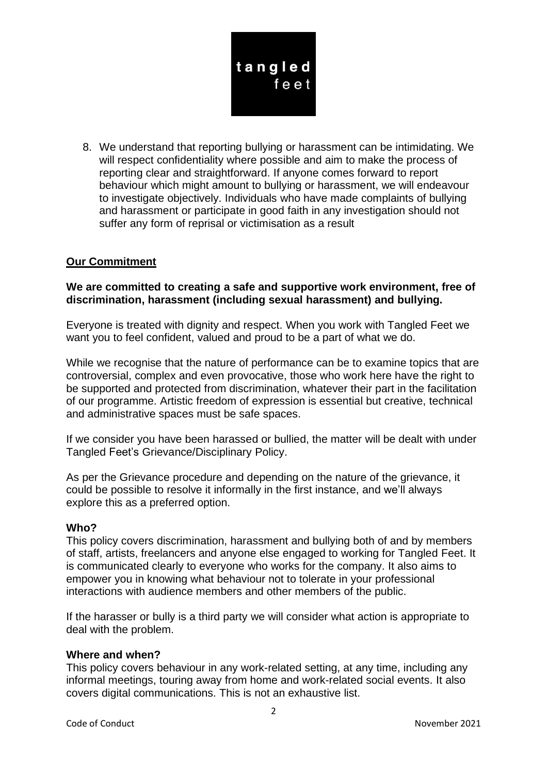

8. We understand that reporting bullying or harassment can be intimidating. We will respect confidentiality where possible and aim to make the process of reporting clear and straightforward. If anyone comes forward to report behaviour which might amount to bullying or harassment, we will endeavour to investigate objectively. Individuals who have made complaints of bullying and harassment or participate in good faith in any investigation should not suffer any form of reprisal or victimisation as a result

# **Our Commitment**

#### **We are committed to creating a safe and supportive work environment, free of discrimination, harassment (including sexual harassment) and bullying.**

Everyone is treated with dignity and respect. When you work with Tangled Feet we want you to feel confident, valued and proud to be a part of what we do.

While we recognise that the nature of performance can be to examine topics that are controversial, complex and even provocative, those who work here have the right to be supported and protected from discrimination, whatever their part in the facilitation of our programme. Artistic freedom of expression is essential but creative, technical and administrative spaces must be safe spaces.

If we consider you have been harassed or bullied, the matter will be dealt with under Tangled Feet's Grievance/Disciplinary Policy.

As per the Grievance procedure and depending on the nature of the grievance, it could be possible to resolve it informally in the first instance, and we'll always explore this as a preferred option.

#### **Who?**

This policy covers discrimination, harassment and bullying both of and by members of staff, artists, freelancers and anyone else engaged to working for Tangled Feet. It is communicated clearly to everyone who works for the company. It also aims to empower you in knowing what behaviour not to tolerate in your professional interactions with audience members and other members of the public.

If the harasser or bully is a third party we will consider what action is appropriate to deal with the problem.

#### **Where and when?**

This policy covers behaviour in any work-related setting, at any time, including any informal meetings, touring away from home and work-related social events. It also covers digital communications. This is not an exhaustive list.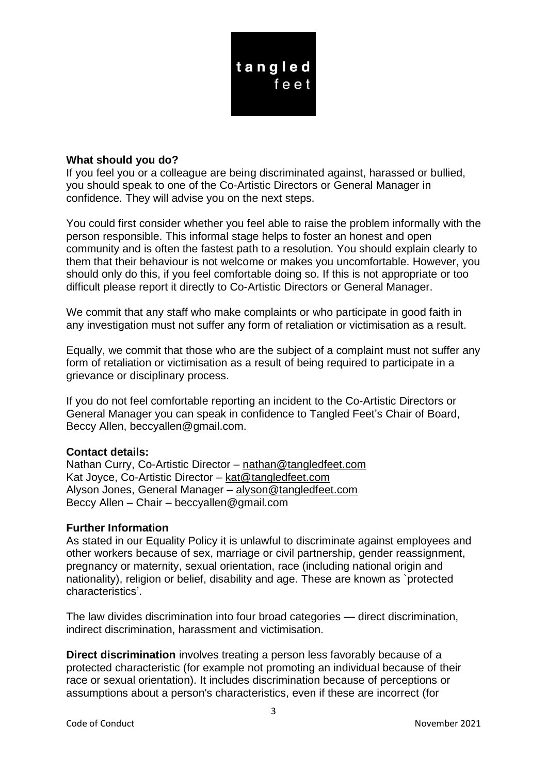

#### **What should you do?**

If you feel you or a colleague are being discriminated against, harassed or bullied, you should speak to one of the Co-Artistic Directors or General Manager in confidence. They will advise you on the next steps.

You could first consider whether you feel able to raise the problem informally with the person responsible. This informal stage helps to foster an honest and open community and is often the fastest path to a resolution. You should explain clearly to them that their behaviour is not welcome or makes you uncomfortable. However, you should only do this, if you feel comfortable doing so. If this is not appropriate or too difficult please report it directly to Co-Artistic Directors or General Manager.

We commit that any staff who make complaints or who participate in good faith in any investigation must not suffer any form of retaliation or victimisation as a result.

Equally, we commit that those who are the subject of a complaint must not suffer any form of retaliation or victimisation as a result of being required to participate in a grievance or disciplinary process.

If you do not feel comfortable reporting an incident to the Co-Artistic Directors or General Manager you can speak in confidence to Tangled Feet's Chair of Board, Beccy Allen, beccyallen@gmail.com.

#### **Contact details:**

Nathan Curry, Co-Artistic Director – [nathan@tangledfeet.com](mailto:nathan@tangledfeet.com) Kat Joyce, Co-Artistic Director – [kat@tangledfeet.com](mailto:kat@tangledfeet.com) Alyson Jones, General Manager – [alyson@tangledfeet.com](mailto:alyson@tangledfeet.com) Beccy Allen – Chair – [beccyallen@gmail.com](mailto:beccyallen@gmail.com)

#### **Further Information**

As stated in our Equality Policy it is unlawful to discriminate against employees and other workers because of sex, marriage or civil partnership, gender reassignment, pregnancy or maternity, sexual orientation, race (including national origin and nationality), religion or belief, disability and age. These are known as `protected characteristics'.

The law divides discrimination into four broad categories — direct discrimination, indirect discrimination, harassment and victimisation.

**Direct discrimination** involves treating a person less favorably because of a protected characteristic (for example not promoting an individual because of their race or sexual orientation). It includes discrimination because of perceptions or assumptions about a person's characteristics, even if these are incorrect (for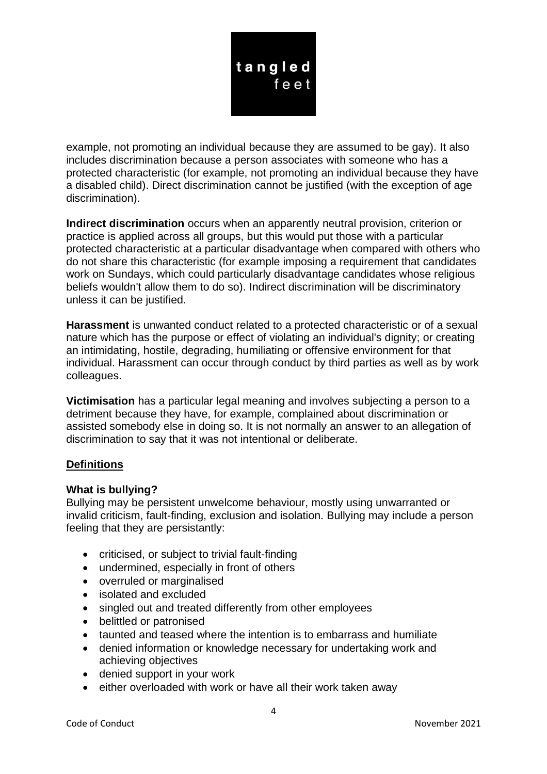

example, not promoting an individual because they are assumed to be gay). It also includes discrimination because a person associates with someone who has a protected characteristic (for example, not promoting an individual because they have a disabled child). Direct discrimination cannot be justified (with the exception of age discrimination).

**Indirect discrimination** occurs when an apparently neutral provision, criterion or practice is applied across all groups, but this would put those with a particular protected characteristic at a particular disadvantage when compared with others who do not share this characteristic (for example imposing a requirement that candidates work on Sundays, which could particularly disadvantage candidates whose religious beliefs wouldn't allow them to do so). Indirect discrimination will be discriminatory unless it can be justified.

**Harassment** is unwanted conduct related to a protected characteristic or of a sexual nature which has the purpose or effect of violating an individual's dignity; or creating an intimidating, hostile, degrading, humiliating or offensive environment for that individual. Harassment can occur through conduct by third parties as well as by work colleagues.

**Victimisation** has a particular legal meaning and involves subjecting a person to a detriment because they have, for example, complained about discrimination or assisted somebody else in doing so. It is not normally an answer to an allegation of discrimination to say that it was not intentional or deliberate.

# **Definitions**

# **What is bullying?**

Bullying may be persistent unwelcome behaviour, mostly using unwarranted or invalid criticism, fault-finding, exclusion and isolation. Bullying may include a person feeling that they are persistantly:

- criticised, or subject to trivial fault-finding
- undermined, especially in front of others
- overruled or marginalised
- isolated and excluded
- singled out and treated differently from other employees
- belittled or patronised
- taunted and teased where the intention is to embarrass and humiliate
- denied information or knowledge necessary for undertaking work and achieving objectives
- denied support in your work
- either overloaded with work or have all their work taken away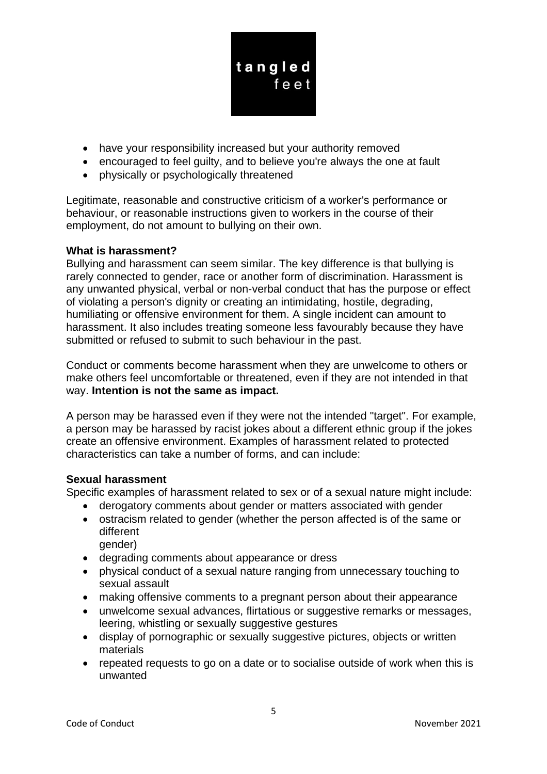

- have your responsibility increased but your authority removed
- encouraged to feel guilty, and to believe you're always the one at fault
- physically or psychologically threatened

Legitimate, reasonable and constructive criticism of a worker's performance or behaviour, or reasonable instructions given to workers in the course of their employment, do not amount to bullying on their own.

# **What is harassment?**

Bullying and harassment can seem similar. The key difference is that bullying is rarely connected to gender, race or another form of discrimination. Harassment is any unwanted physical, verbal or non-verbal conduct that has the purpose or effect of violating a person's dignity or creating an intimidating, hostile, degrading, humiliating or offensive environment for them. A single incident can amount to harassment. It also includes treating someone less favourably because they have submitted or refused to submit to such behaviour in the past.

Conduct or comments become harassment when they are unwelcome to others or make others feel uncomfortable or threatened, even if they are not intended in that way. **Intention is not the same as impact.**

A person may be harassed even if they were not the intended "target". For example, a person may be harassed by racist jokes about a different ethnic group if the jokes create an offensive environment. Examples of harassment related to protected characteristics can take a number of forms, and can include:

# **Sexual harassment**

Specific examples of harassment related to sex or of a sexual nature might include:

- derogatory comments about gender or matters associated with gender
- ostracism related to gender (whether the person affected is of the same or different gender)
- degrading comments about appearance or dress
- physical conduct of a sexual nature ranging from unnecessary touching to sexual assault
- making offensive comments to a pregnant person about their appearance
- unwelcome sexual advances, flirtatious or suggestive remarks or messages, leering, whistling or sexually suggestive gestures
- display of pornographic or sexually suggestive pictures, objects or written materials
- repeated requests to go on a date or to socialise outside of work when this is unwanted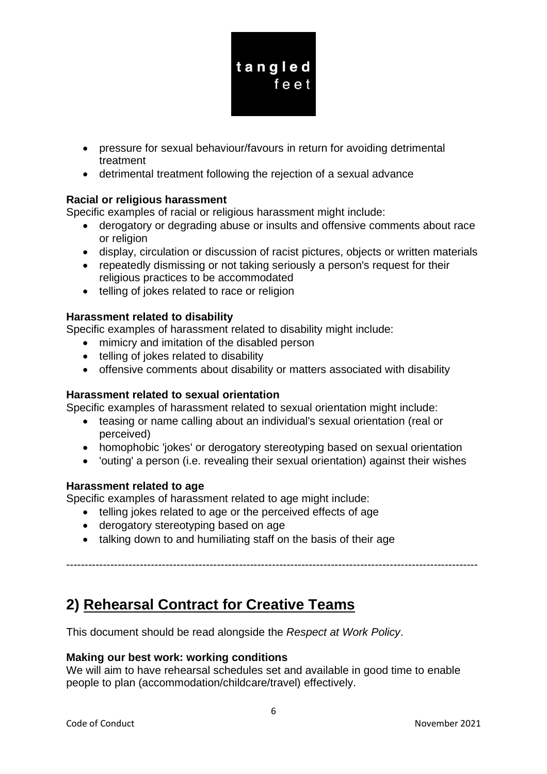

- pressure for sexual behaviour/favours in return for avoiding detrimental treatment
- detrimental treatment following the rejection of a sexual advance

# **Racial or religious harassment**

Specific examples of racial or religious harassment might include:

- derogatory or degrading abuse or insults and offensive comments about race or religion
- display, circulation or discussion of racist pictures, objects or written materials
- repeatedly dismissing or not taking seriously a person's request for their religious practices to be accommodated
- telling of jokes related to race or religion

# **Harassment related to disability**

Specific examples of harassment related to disability might include:

- mimicry and imitation of the disabled person
- telling of jokes related to disability
- offensive comments about disability or matters associated with disability

# **Harassment related to sexual orientation**

Specific examples of harassment related to sexual orientation might include:

- teasing or name calling about an individual's sexual orientation (real or perceived)
- homophobic 'jokes' or derogatory stereotyping based on sexual orientation
- 'outing' a person (i.e. revealing their sexual orientation) against their wishes

----------------------------------------------------------------------------------------------------------------

# **Harassment related to age**

Specific examples of harassment related to age might include:

- telling jokes related to age or the perceived effects of age
- derogatory stereotyping based on age
- talking down to and humiliating staff on the basis of their age

# **2) Rehearsal Contract for Creative Teams**

This document should be read alongside the *Respect at Work Policy*.

# **Making our best work: working conditions**

We will aim to have rehearsal schedules set and available in good time to enable people to plan (accommodation/childcare/travel) effectively.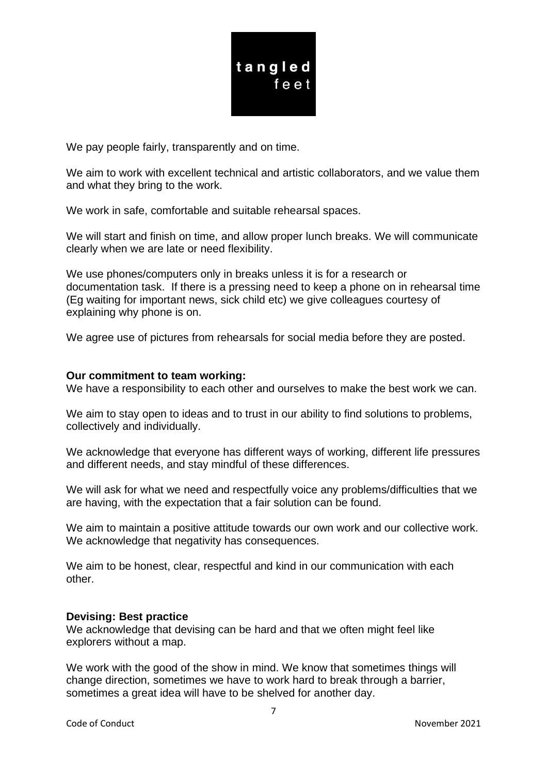

We pay people fairly, transparently and on time.

We aim to work with excellent technical and artistic collaborators, and we value them and what they bring to the work.

We work in safe, comfortable and suitable rehearsal spaces.

We will start and finish on time, and allow proper lunch breaks. We will communicate clearly when we are late or need flexibility.

We use phones/computers only in breaks unless it is for a research or documentation task. If there is a pressing need to keep a phone on in rehearsal time (Eg waiting for important news, sick child etc) we give colleagues courtesy of explaining why phone is on.

We agree use of pictures from rehearsals for social media before they are posted.

#### **Our commitment to team working:**

We have a responsibility to each other and ourselves to make the best work we can.

We aim to stay open to ideas and to trust in our ability to find solutions to problems, collectively and individually.

We acknowledge that everyone has different ways of working, different life pressures and different needs, and stay mindful of these differences.

We will ask for what we need and respectfully voice any problems/difficulties that we are having, with the expectation that a fair solution can be found.

We aim to maintain a positive attitude towards our own work and our collective work. We acknowledge that negativity has consequences.

We aim to be honest, clear, respectful and kind in our communication with each other.

#### **Devising: Best practice**

We acknowledge that devising can be hard and that we often might feel like explorers without a map.

We work with the good of the show in mind. We know that sometimes things will change direction, sometimes we have to work hard to break through a barrier, sometimes a great idea will have to be shelved for another day.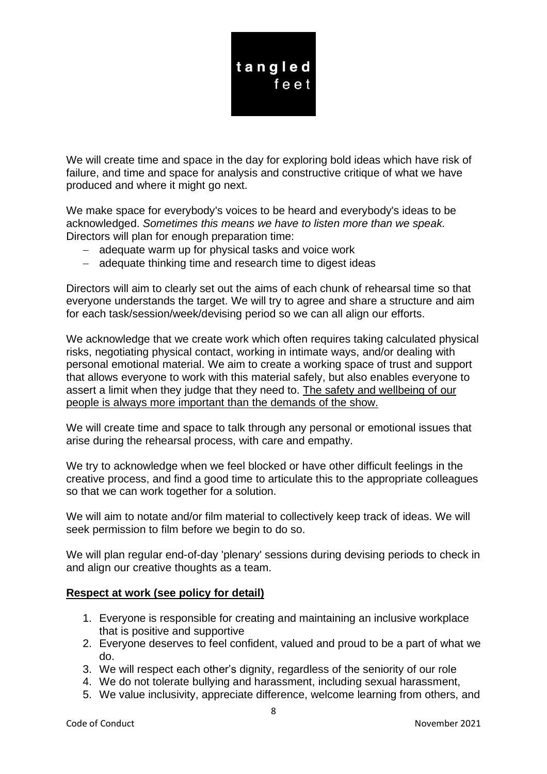

We will create time and space in the day for exploring bold ideas which have risk of failure, and time and space for analysis and constructive critique of what we have produced and where it might go next.

We make space for everybody's voices to be heard and everybody's ideas to be acknowledged. *Sometimes this means we have to listen more than we speak.* Directors will plan for enough preparation time:

- − adequate warm up for physical tasks and voice work
- − adequate thinking time and research time to digest ideas

Directors will aim to clearly set out the aims of each chunk of rehearsal time so that everyone understands the target. We will try to agree and share a structure and aim for each task/session/week/devising period so we can all align our efforts.

We acknowledge that we create work which often requires taking calculated physical risks, negotiating physical contact, working in intimate ways, and/or dealing with personal emotional material. We aim to create a working space of trust and support that allows everyone to work with this material safely, but also enables everyone to assert a limit when they judge that they need to. The safety and wellbeing of our people is always more important than the demands of the show.

We will create time and space to talk through any personal or emotional issues that arise during the rehearsal process, with care and empathy.

We try to acknowledge when we feel blocked or have other difficult feelings in the creative process, and find a good time to articulate this to the appropriate colleagues so that we can work together for a solution.

We will aim to notate and/or film material to collectively keep track of ideas. We will seek permission to film before we begin to do so.

We will plan regular end-of-day 'plenary' sessions during devising periods to check in and align our creative thoughts as a team.

#### **Respect at work (see policy for detail)**

- 1. Everyone is responsible for creating and maintaining an inclusive workplace that is positive and supportive
- 2. Everyone deserves to feel confident, valued and proud to be a part of what we do.
- 3. We will respect each other's dignity, regardless of the seniority of our role
- 4. We do not tolerate bullying and harassment, including sexual harassment,
- 5. We value inclusivity, appreciate difference, welcome learning from others, and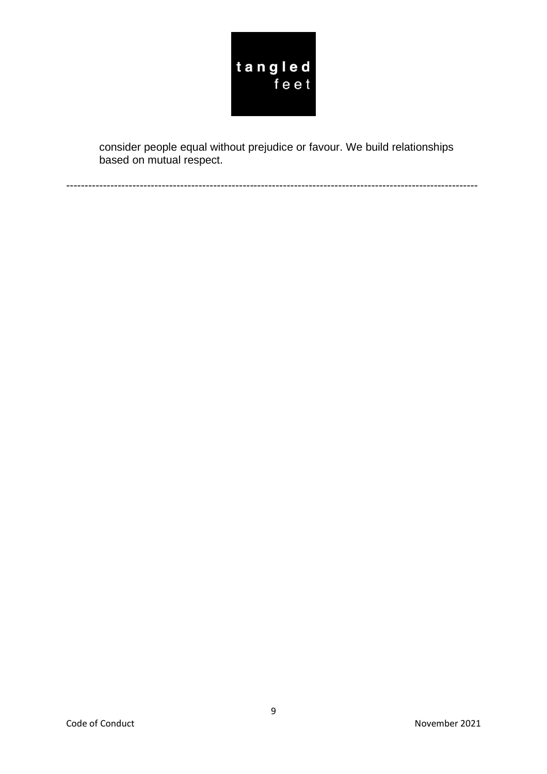

consider people equal without prejudice or favour. We build relationships based on mutual respect.

----------------------------------------------------------------------------------------------------------------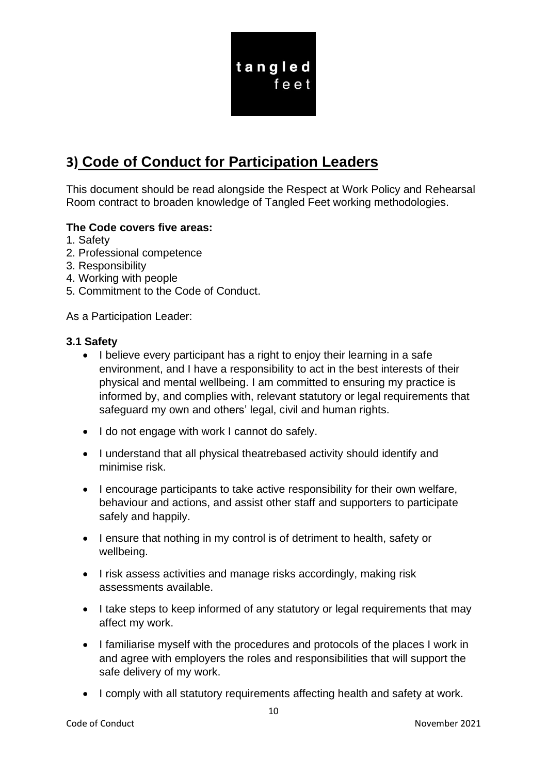

# **3) Code of Conduct for Participation Leaders**

This document should be read alongside the Respect at Work Policy and Rehearsal Room contract to broaden knowledge of Tangled Feet working methodologies.

# **The Code covers five areas:**

- 1. Safety
- 2. Professional competence
- 3. Responsibility
- 4. Working with people
- 5. Commitment to the Code of Conduct.

As a Participation Leader:

#### **3.1 Safety**

- I believe every participant has a right to enjoy their learning in a safe environment, and I have a responsibility to act in the best interests of their physical and mental wellbeing. I am committed to ensuring my practice is informed by, and complies with, relevant statutory or legal requirements that safeguard my own and others' legal, civil and human rights.
- I do not engage with work I cannot do safely.
- I understand that all physical theatrebased activity should identify and minimise risk.
- I encourage participants to take active responsibility for their own welfare, behaviour and actions, and assist other staff and supporters to participate safely and happily.
- I ensure that nothing in my control is of detriment to health, safety or wellbeing.
- I risk assess activities and manage risks accordingly, making risk assessments available.
- I take steps to keep informed of any statutory or legal requirements that may affect my work.
- I familiarise myself with the procedures and protocols of the places I work in and agree with employers the roles and responsibilities that will support the safe delivery of my work.
- I comply with all statutory requirements affecting health and safety at work.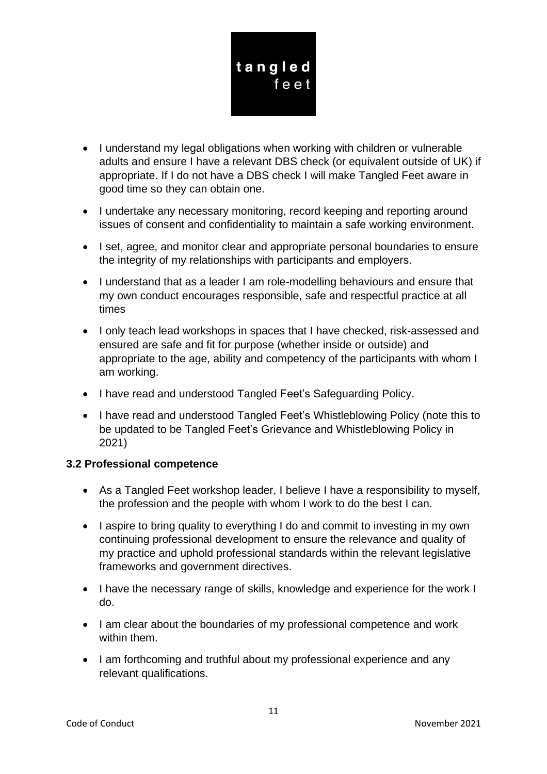

- I understand my legal obligations when working with children or vulnerable adults and ensure I have a relevant DBS check (or equivalent outside of UK) if appropriate. If I do not have a DBS check I will make Tangled Feet aware in good time so they can obtain one.
- I undertake any necessary monitoring, record keeping and reporting around issues of consent and confidentiality to maintain a safe working environment.
- I set, agree, and monitor clear and appropriate personal boundaries to ensure the integrity of my relationships with participants and employers.
- I understand that as a leader I am role-modelling behaviours and ensure that my own conduct encourages responsible, safe and respectful practice at all times
- I only teach lead workshops in spaces that I have checked, risk-assessed and ensured are safe and fit for purpose (whether inside or outside) and appropriate to the age, ability and competency of the participants with whom I am working.
- I have read and understood Tangled Feet's Safeguarding Policy.
- I have read and understood Tangled Feet's Whistleblowing Policy (note this to be updated to be Tangled Feet's Grievance and Whistleblowing Policy in 2021)

# **3.2 Professional competence**

- As a Tangled Feet workshop leader, I believe I have a responsibility to myself, the profession and the people with whom I work to do the best I can.
- I aspire to bring quality to everything I do and commit to investing in my own continuing professional development to ensure the relevance and quality of my practice and uphold professional standards within the relevant legislative frameworks and government directives.
- I have the necessary range of skills, knowledge and experience for the work I do.
- I am clear about the boundaries of my professional competence and work within them.
- I am forthcoming and truthful about my professional experience and any relevant qualifications.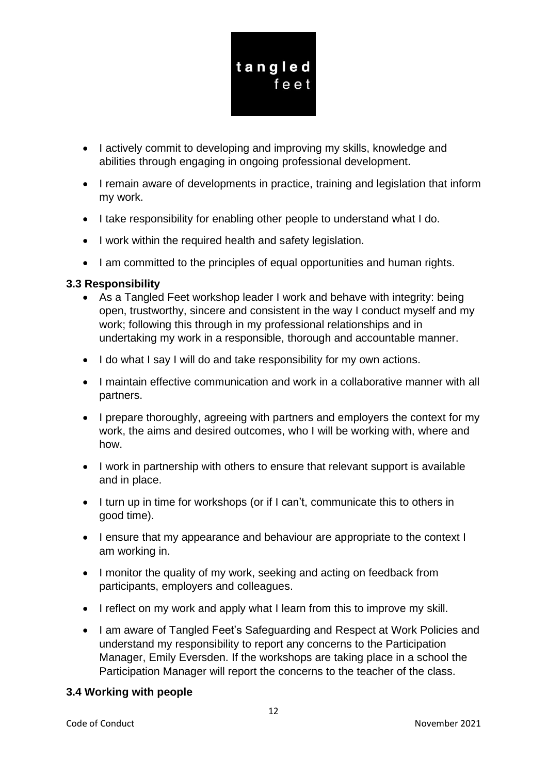

- I actively commit to developing and improving my skills, knowledge and abilities through engaging in ongoing professional development.
- I remain aware of developments in practice, training and legislation that inform my work.
- I take responsibility for enabling other people to understand what I do.
- I work within the required health and safety legislation.
- I am committed to the principles of equal opportunities and human rights.

# **3.3 Responsibility**

- As a Tangled Feet workshop leader I work and behave with integrity: being open, trustworthy, sincere and consistent in the way I conduct myself and my work; following this through in my professional relationships and in undertaking my work in a responsible, thorough and accountable manner.
- I do what I say I will do and take responsibility for my own actions.
- I maintain effective communication and work in a collaborative manner with all partners.
- I prepare thoroughly, agreeing with partners and employers the context for my work, the aims and desired outcomes, who I will be working with, where and how.
- I work in partnership with others to ensure that relevant support is available and in place.
- I turn up in time for workshops (or if I can't, communicate this to others in good time).
- I ensure that my appearance and behaviour are appropriate to the context I am working in.
- I monitor the quality of my work, seeking and acting on feedback from participants, employers and colleagues.
- I reflect on my work and apply what I learn from this to improve my skill.
- I am aware of Tangled Feet's Safeguarding and Respect at Work Policies and understand my responsibility to report any concerns to the Participation Manager, Emily Eversden. If the workshops are taking place in a school the Participation Manager will report the concerns to the teacher of the class.

# **3.4 Working with people**